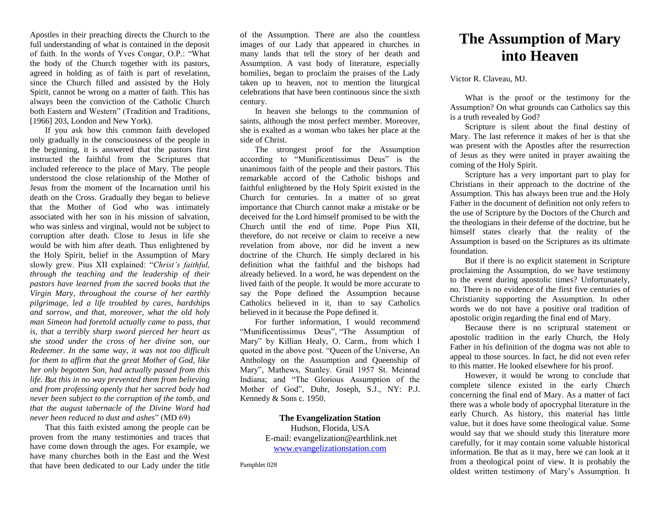Apostles in their preaching directs the Church to the full understanding of what is contained in the deposit of faith. In the words of Yves Congar, O.P.: "What the body of the Church together with its pastors, agreed in holding as of faith is part of revelation, since the Church filled and assisted by the Holy Spirit, cannot be wrong on a matter of faith. This has always been the conviction of the Catholic Church both Eastern and Western" (Tradition and Traditions, [1966] 203, London and New York).

If you ask how this common faith developed only gradually in the consciousness of the people in the beginning, it is answered that the pastors first instructed the faithful from the Scriptures that included reference to the place of Mary. The people understood the close relationship of the Mother of Jesus from the moment of the Incarnation until his death on the Cross. Gradually they began to believe that the Mother of God who was intimately associated with her son in his mission of salvation, who was sinless and virginal, would not be subject to corruption after death. Close to Jesus in life she would be with him after death. Thus enlightened by the Holy Spirit, belief in the Assumption of Mary slowly grew. Pius XII explained: "*Christ's faithful, through the teaching and the leadership of their pastors have learned from the sacred books that the Virgin Mary, throughout the course of her earthly pilgrimage, led a life troubled by cares, hardships and sorrow, and that, moreover, what the old holy man Simeon had foretold actually came to pass, that is, that a terribly sharp sword pierced her heart as she stood under the cross of her divine son, our Redeemer. In the same way, it was not too difficult for them to affirm that the great Mother of God, like her only begotten Son, had actually passed from this life. But this in no way prevented them from believing and from professing openly that her sacred body had never been subject to the corruption of the tomb, and that the august tabernacle of the Divine Word had never been reduced to dust and ashes*" (MD 69)

That this faith existed among the people can be proven from the many testimonies and traces that have come down through the ages. For example, we have many churches both in the East and the West that have been dedicated to our Lady under the title

of the Assumption. There are also the countless images of our Lady that appeared in churches in many lands that tell the story of her death and Assumption. A vast body of literature, especially homilies, began to proclaim the praises of the Lady taken up to heaven, not to mention the liturgical celebrations that have been continuous since the sixth century.

In heaven she belongs to the communion of saints, although the most perfect member. Moreover, she is exalted as a woman who takes her place at the side of Christ.

The strongest proof for the Assumption according to "Munificentissimus Deus" is the unanimous faith of the people and their pastors. This remarkable accord of the Catholic bishops and faithful enlightened by the Holy Spirit existed in the Church for centuries. In a matter of so great importance that Church cannot make a mistake or be deceived for the Lord himself promised to be with the Church until the end of time. Pope Pius XII, therefore, do not receive or claim to receive a new revelation from above, nor did he invent a new doctrine of the Church. He simply declared in his definition what the faithful and the bishops had already believed. In a word, he was dependent on the lived faith of the people. It would be more accurate to say the Pope defined the Assumption because Catholics believed in it, than to say Catholics believed in it because the Pope defined it.

For further information, I would recommend "Munificentissimus Deus", "The Assumption of Mary" by Killian Healy, O. Carm., from which I quoted in the above post. "Queen of the Universe, An Anthology on the Assumption and Queenship of Mary", Mathews, Stanley. Grail 1957 St. Meinrad Indiana; and "The Glorious Assumption of the Mother of God", Duhr, Joseph, S.J., NY: P.J. Kennedy & Sons c. 1950.

## **The Evangelization Station**

Hudson, Florida, USA E-mail: evangelization@earthlink.net [www.evangelizationstation.com](http://www.pjpiisoe.org/)

Pamphlet 028

## **The Assumption of Mary into Heaven**

Victor R. Claveau, MJ.

What is the proof or the testimony for the Assumption? On what grounds can Catholics say this is a truth revealed by God?

Scripture is silent about the final destiny of Mary. The last reference it makes of her is that she was present with the Apostles after the resurrection of Jesus as they were united in prayer awaiting the coming of the Holy Spirit.

Scripture has a very important part to play for Christians in their approach to the doctrine of the Assumption. This has always been true and the Holy Father in the document of definition not only refers to the use of Scripture by the Doctors of the Church and the theologians in their defense of the doctrine, but he himself states clearly that the reality of the Assumption is based on the Scriptures as its ultimate foundation.

But if there is no explicit statement in Scripture proclaiming the Assumption, do we have testimony to the event during apostolic times? Unfortunately, no. There is no evidence of the first five centuries of Christianity supporting the Assumption. In other words we do not have a positive oral tradition of apostolic origin regarding the final end of Mary.

Because there is no scriptural statement or apostolic tradition in the early Church, the Holy Father in his definition of the dogma was not able to appeal to those sources. In fact, he did not even refer to this matter. He looked elsewhere for his proof.

However, it would be wrong to conclude that complete silence existed in the early Church concerning the final end of Mary. As a matter of fact there was a whole body of apocryphal literature in the early Church. As history, this material has little value, but it does have some theological value. Some would say that we should study this literature more carefully, for it may contain some valuable historical information. Be that as it may, here we can look at it from a theological point of view. It is probably the oldest written testimony of Mary's Assumption. It